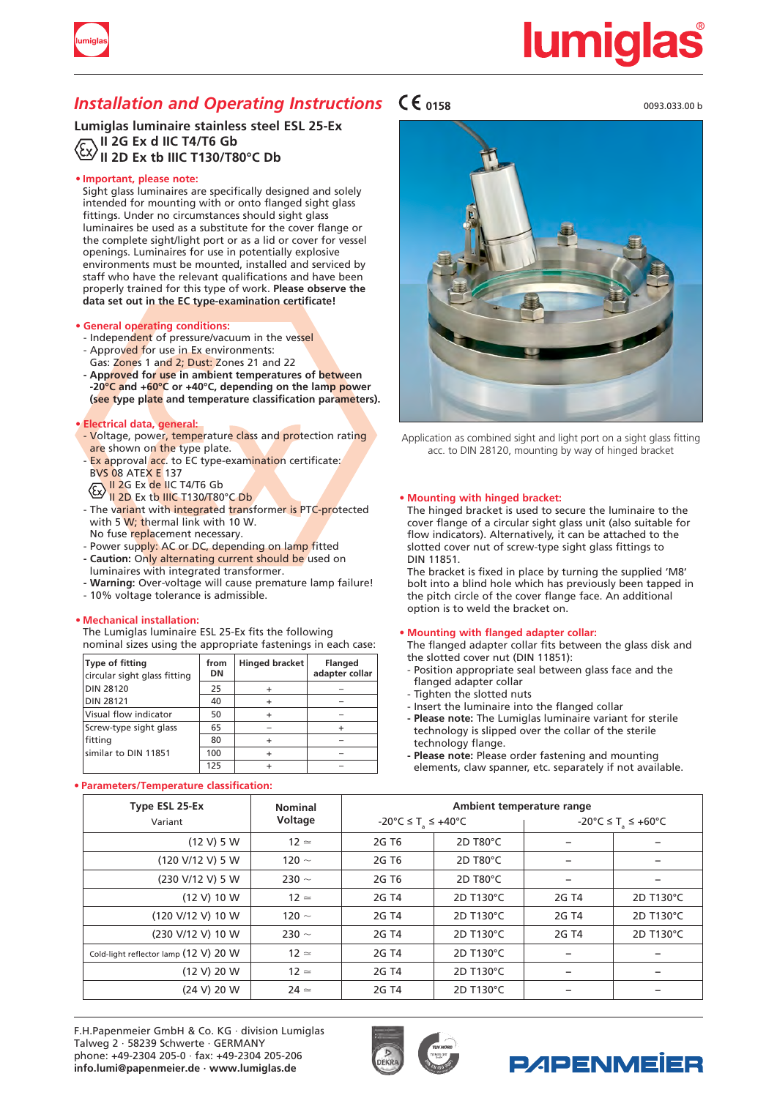

# <u>lumiqla</u>

### *Installation and Operating Instructions*  $\mathsf{C}\mathsf{E}_{0158}$

**Lumiglas luminaire stainless steel ESL 25-Ex II 2G Ex d IIC T4/T6 Gb II 2D Ex tb IIIC T130/T80°C Db**

### **• Important, please note:**

Sight glass luminaires are specifically designed and solely intended for mounting with or onto flanged sight glass fittings. Under no circumstances should sight glass luminaires be used as a substitute for the cover flange or the complete sight/light port or as a lid or cover for vessel openings. Luminaires for use in potentially explosive environments must be mounted, installed and serviced by staff who have the relevant qualifications and have been properly trained for this type of work. **Please observe the data set out in the EC type-examination certificate!**

### **• General operating conditions:**

- Independent of pressure/vacuum in the vessel
- Approved for use in Ex environments:
- Gas: Zones 1 and 2; Dust: Zones 21 and 22 **- Approved for use in ambient temperatures of between -20°C and +60°C or +40°C, depending on the lamp power (see type plate and temperature classification parameters).**

### **• Electrical data, general:**

- Voltage, power, temperature class and protection rating are shown on the type plate.
- Ex approval acc. to EC type-examination certificate: **BVS 08 ATEX E 137**
- II 2G Ex de IIC T4/T6 Gb  $\overline{11}$  2D Ex tb IIIC T130/T80°C Db
- The variant with integrated transformer is PTC-protected with 5 W; thermal link with 10 W. No fuse replacement necessary.
- Power supply: AC or DC, depending on lamp fitted **- Caution:** Only alternating current should be used on
- luminaires with integrated transformer.
- **- Warning:** Over-voltage will cause premature lamp failure!
- 10% voltage tolerance is admissible.

### **• Mechanical installation:**

The Lumiglas luminaire ESL 25-Ex fits the following nominal sizes using the appropriate fastenings in each case:

| Type of fitting<br>circular sight glass fitting | from<br>DN | <b>Hinged bracket</b> | <b>Flanged</b><br>adapter collar |
|-------------------------------------------------|------------|-----------------------|----------------------------------|
| <b>DIN 28120</b>                                | 25         |                       |                                  |
| <b>DIN 28121</b>                                | 40         |                       |                                  |
| Visual flow indicator                           | 50         |                       |                                  |
| Screw-type sight glass                          | 65         |                       |                                  |
| fitting                                         | 80         |                       |                                  |
| similar to DIN 11851                            | 100        |                       |                                  |
|                                                 | 125        |                       |                                  |

### **• Parameters/Temperature classification:**

0093.033.00 b



Application as combined sight and light port on a sight glass fitting acc. to DIN 28120, mounting by way of hinged bracket

### **• Mounting with hinged bracket:**

The hinged bracket is used to secure the luminaire to the cover flange of a circular sight glass unit (also suitable for flow indicators). Alternatively, it can be attached to the slotted cover nut of screw-type sight glass fittings to DIN 11851.

The bracket is fixed in place by turning the supplied 'M8' bolt into a blind hole which has previously been tapped in the pitch circle of the cover flange face. An additional option is to weld the bracket on.

### **• Mounting with flanged adapter collar:**

The flanged adapter collar fits between the glass disk and the slotted cover nut (DIN 11851):

- Position appropriate seal between glass face and the flanged adapter collar
- Tighten the slotted nuts
- Insert the luminaire into the flanged collar
- **- Please note:** The Lumiglas luminaire variant for sterile technology is slipped over the collar of the sterile technology flange.
- **- Please note:** Please order fastening and mounting elements, claw spanner, etc. separately if not available.

| Type ESL 25-Ex                        | <b>Nominal</b> | Ambient temperature range      |           |                                |           |
|---------------------------------------|----------------|--------------------------------|-----------|--------------------------------|-----------|
| Variant                               | Voltage        | -20°C ≤ T <sub>a</sub> ≤ +40°C |           | -20°C ≤ T <sub>2</sub> ≤ +60°C |           |
| (12 V) 5 W                            | $12 \simeq$    | 2G T <sub>6</sub>              | 2D T80°C  |                                |           |
| (120 V/12 V) 5 W                      | 120 $\sim$     | 2G T <sub>6</sub>              | 2D T80°C  |                                |           |
| (230 V/12 V) 5 W                      | 230 $\sim$     | 2G T <sub>6</sub>              | 2D T80°C  |                                |           |
| (12 V) 10 W                           | $12 \simeq$    | 2G T4                          | 2D T130°C | 2G T4                          | 2D T130°C |
| (120 V/12 V) 10 W                     | 120 $\sim$     | 2G T4                          | 2D T130°C | 2G T4                          | 2D T130°C |
| (230 V/12 V) 10 W                     | 230 $\sim$     | 2G T4                          | 2D T130°C | 2G T4                          | 2D T130°C |
| Cold-light reflector lamp (12 V) 20 W | $12 \simeq$    | 2G T4                          | 2D T130°C |                                |           |
| (12 V) 20 W                           | $12 \approx$   | 2G T4                          | 2D T130°C | $\overline{\phantom{0}}$       | -         |
| (24 V) 20 W                           | $24 \simeq$    | 2G T4                          | 2D T130°C |                                |           |

F.H.Papenmeier GmbH & Co. KG · division Lumiglas Talweg 2 · 58239 Schwerte · GERMANY phone: +49-2304 205-0 · fax: +49-2304 205-206 **info.lumi@papenmeier.de · www.lumiglas.de**